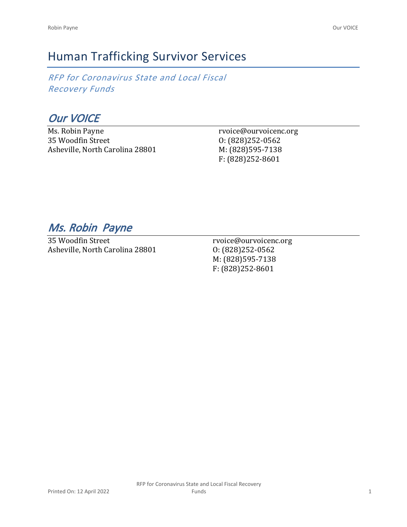# Human Trafficking Survivor Services

*RFP for Coronavirus State and Local Fiscal Recovery Funds*

*Our VOICE*

Ms. Robin Payne 35 Woodfin Street Asheville, North Carolina 28801 rvoice@ourvoicenc.org O: (828)252-0562 M: (828)595-7138 F: (828)252-8601

## *Ms. Robin Payne*

35 Woodfin Street Asheville, North Carolina 28801

rvoice@ourvoicenc.org O: (828)252-0562 M: (828)595-7138 F: (828)252-8601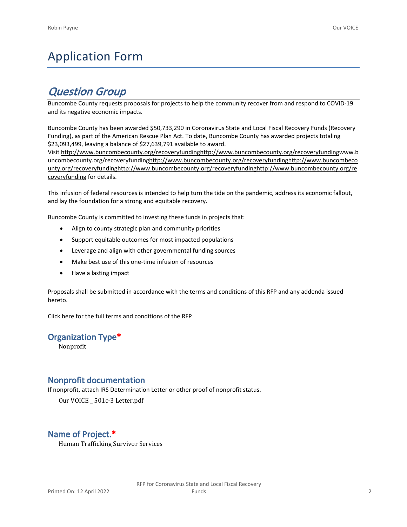# Application Form

## *Question Group*

Buncombe County requests proposals for projects to help the community recover from and respond to COVID-19 and its negative economic impacts.

Buncombe County has been awarded \$50,733,290 in Coronavirus State and Local Fiscal Recovery Funds (Recovery Funding), as part of the American Rescue Plan Act. To date, Buncombe County has awarded projects totaling \$23,093,499, leaving a balance of \$27,639,791 available to award.

Visit [http://www.buncombecounty.org/recoveryfundinghttp://www.buncombecounty.org/recoveryfundingwww.b](http://www.buncombecounty.org/recoveryfunding) [uncombecounty.org/recoveryfundinghttp://www.buncombecounty.org/recoveryfundinghttp://www.buncombeco](http://www.buncombecounty.org/recoveryfunding) [unty.org/recoveryfundinghttp://www.buncombecounty.org/recoveryfundinghttp://www.buncombecounty.org/re](http://www.buncombecounty.org/recoveryfunding) [coveryfunding](http://www.buncombecounty.org/recoveryfunding) for details.

This infusion of federal resources is intended to help turn the tide on the pandemic, address its economic fallout, and lay the foundation for a strong and equitable recovery.

Buncombe County is committed to investing these funds in projects that:

- Align to county strategic plan and community priorities
- Support equitable outcomes for most impacted populations
- Leverage and align with other governmental funding sources
- Make best use of this one-time infusion of resources
- Have a lasting impact

Proposals shall be submitted in accordance with the terms and conditions of this RFP and any addenda issued hereto.

Click [here](https://www.buncombecounty.org/common/purchasing/Buncombe%20Recovery%20Funding%20RFP%202022.pdf) for the full terms and conditions of the RFP

## **Organization Type\***

Nonprofit

## **Nonprofit documentation**

If nonprofit, attach IRS Determination Letter or other proof of nonprofit status.

Our VOICE \_ 501c-3 Letter.pdf

## **Name of Project.\***

Human Trafficking Survivor Services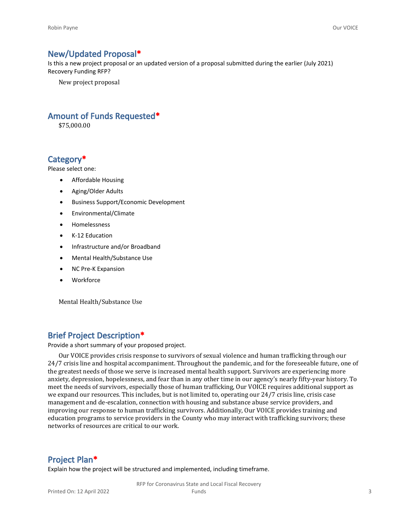## **New/Updated Proposal\***

Is this a new project proposal or an updated version of a proposal submitted during the earlier (July 2021) Recovery Funding RFP?

New project proposal

## **Amount of Funds Requested\***

\$75,000.00

## **Category\***

Please select one:

- Affordable Housing
- Aging/Older Adults
- Business Support/Economic Development
- Environmental/Climate
- Homelessness
- K-12 Education
- Infrastructure and/or Broadband
- Mental Health/Substance Use
- NC Pre-K Expansion
- Workforce

Mental Health/Substance Use

## **Brief Project Description\***

Provide a short summary of your proposed project.

Our VOICE provides crisis response to survivors of sexual violence and human trafficking through our 24/7 crisis line and hospital accompaniment. Throughout the pandemic, and for the foreseeable future, one of the greatest needs of those we serve is increased mental health support. Survivors are experiencing more anxiety, depression, hopelessness, and fear than in any other time in our agency's nearly fifty-year history. To meet the needs of survivors, especially those of human trafficking, Our VOICE requires additional support as we expand our resources. This includes, but is not limited to, operating our 24/7 crisis line, crisis case management and de-escalation, connection with housing and substance abuse service providers, and improving our response to human trafficking survivors. Additionally, Our VOICE provides training and education programs to service providers in the County who may interact with trafficking survivors; these networks of resources are critical to our work.

## **Project Plan\***

Explain how the project will be structured and implemented, including timeframe.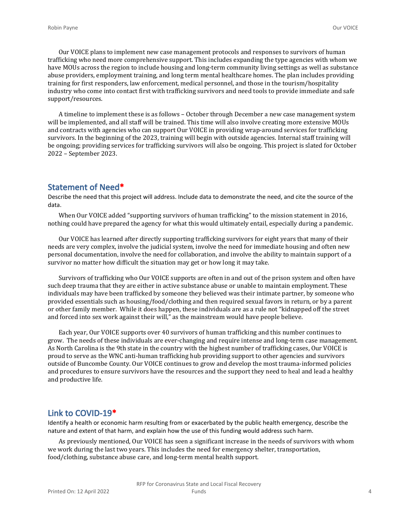Our VOICE plans to implement new case management protocols and responses to survivors of human trafficking who need more comprehensive support. This includes expanding the type agencies with whom we have MOUs across the region to include housing and long-term community living settings as well as substance abuse providers, employment training, and long term mental healthcare homes. The plan includes providing training for first responders, law enforcement, medical personnel, and those in the tourism/hospitality industry who come into contact first with trafficking survivors and need tools to provide immediate and safe support/resources.

A timeline to implement these is as follows – October through December a new case management system will be implemented, and all staff will be trained. This time will also involve creating more extensive MOUs and contracts with agencies who can support Our VOICE in providing wrap-around services for trafficking survivors. In the beginning of the 2023, training will begin with outside agencies. Internal staff training will be ongoing; providing services for trafficking survivors will also be ongoing. This project is slated for October 2022 – September 2023.

## **Statement of Need\***

Describe the need that this project will address. Include data to demonstrate the need, and cite the source of the data.

When Our VOICE added "supporting survivors of human trafficking" to the mission statement in 2016, nothing could have prepared the agency for what this would ultimately entail, especially during a pandemic.

Our VOICE has learned after directly supporting trafficking survivors for eight years that many of their needs are very complex, involve the judicial system, involve the need for immediate housing and often new personal documentation, involve the need for collaboration, and involve the ability to maintain support of a survivor no matter how difficult the situation may get or how long it may take.

Survivors of trafficking who Our VOICE supports are often in and out of the prison system and often have such deep trauma that they are either in active substance abuse or unable to maintain employment. These individuals may have been trafficked by someone they believed was their intimate partner, by someone who provided essentials such as housing/food/clothing and then required sexual favors in return, or by a parent or other family member. While it does happen, these individuals are as a rule not "kidnapped off the street and forced into sex work against their will," as the mainstream would have people believe.

Each year, Our VOICE supports over 40 survivors of human trafficking and this number continues to grow. The needs of these individuals are ever-changing and require intense and long-term case management. As North Carolina is the 9th state in the country with the highest number of trafficking cases, Our VOICE is proud to serve as the WNC anti-human trafficking hub providing support to other agencies and survivors outside of Buncombe County. Our VOICE continues to grow and develop the most trauma-informed policies and procedures to ensure survivors have the resources and the support they need to heal and lead a healthy and productive life.

## **Link to COVID-19\***

Identify a health or economic harm resulting from or exacerbated by the public health emergency, describe the nature and extent of that harm, and explain how the use of this funding would address such harm.

As previously mentioned, Our VOICE has seen a significant increase in the needs of survivors with whom we work during the last two years. This includes the need for emergency shelter, transportation, food/clothing, substance abuse care, and long-term mental health support.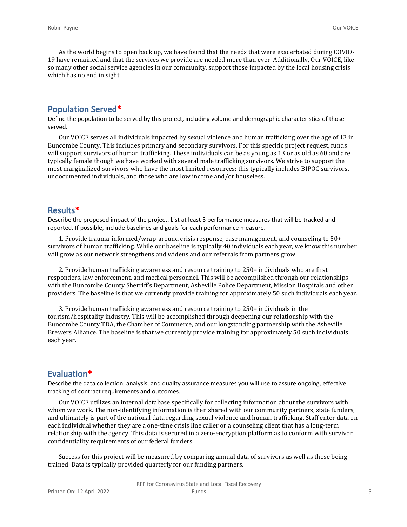As the world begins to open back up, we have found that the needs that were exacerbated during COVID-19 have remained and that the services we provide are needed more than ever. Additionally, Our VOICE, like so many other social service agencies in our community, support those impacted by the local housing crisis which has no end in sight.

### **Population Served\***

Define the population to be served by this project, including volume and demographic characteristics of those served.

Our VOICE serves all individuals impacted by sexual violence and human trafficking over the age of 13 in Buncombe County. This includes primary and secondary survivors. For this specific project request, funds will support survivors of human trafficking. These individuals can be as young as 13 or as old as 60 and are typically female though we have worked with several male trafficking survivors. We strive to support the most marginalized survivors who have the most limited resources; this typically includes BIPOC survivors, undocumented individuals, and those who are low income and/or houseless.

#### **Results\***

Describe the proposed impact of the project. List at least 3 performance measures that will be tracked and reported. If possible, include baselines and goals for each performance measure.

1. Provide trauma-informed/wrap-around crisis response, case management, and counseling to 50+ survivors of human trafficking. While our baseline is typically 40 individuals each year, we know this number will grow as our network strengthens and widens and our referrals from partners grow.

2. Provide human trafficking awareness and resource training to 250+ individuals who are first responders, law enforcement, and medical personnel. This will be accomplished through our relationships with the Buncombe County Sherriff's Department, Asheville Police Department, Mission Hospitals and other providers. The baseline is that we currently provide training for approximately 50 such individuals each year.

3. Provide human trafficking awareness and resource training to 250+ individuals in the tourism/hospitality industry. This will be accomplished through deepening our relationship with the Buncombe County TDA, the Chamber of Commerce, and our longstanding partnership with the Asheville Brewers Alliance. The baseline is that we currently provide training for approximately 50 such individuals each year.

## **Evaluation\***

Describe the data collection, analysis, and quality assurance measures you will use to assure ongoing, effective tracking of contract requirements and outcomes.

Our VOICE utilizes an internal database specifically for collecting information about the survivors with whom we work. The non-identifying information is then shared with our community partners, state funders, and ultimately is part of the national data regarding sexual violence and human trafficking. Staff enter data on each individual whether they are a one-time crisis line caller or a counseling client that has a long-term relationship with the agency. This data is secured in a zero-encryption platform as to conform with survivor confidentiality requirements of our federal funders.

Success for this project will be measured by comparing annual data of survivors as well as those being trained. Data is typically provided quarterly for our funding partners.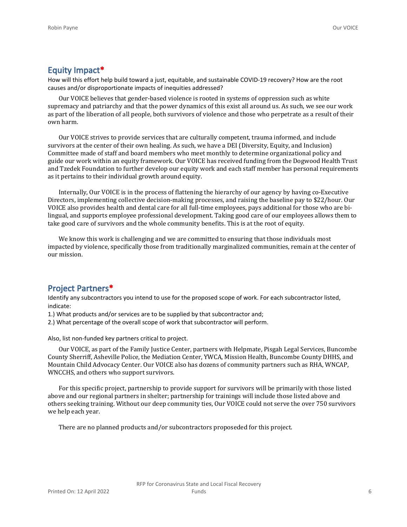## **Equity Impact\***

How will this effort help build toward a just, equitable, and sustainable COVID-19 recovery? How are the root causes and/or disproportionate impacts of inequities addressed?

Our VOICE believes that gender-based violence is rooted in systems of oppression such as white supremacy and patriarchy and that the power dynamics of this exist all around us. As such, we see our work as part of the liberation of all people, both survivors of violence and those who perpetrate as a result of their own harm.

Our VOICE strives to provide services that are culturally competent, trauma informed, and include survivors at the center of their own healing. As such, we have a DEI (Diversity, Equity, and Inclusion) Committee made of staff and board members who meet monthly to determine organizational policy and guide our work within an equity framework. Our VOICE has received funding from the Dogwood Health Trust and Tzedek Foundation to further develop our equity work and each staff member has personal requirements as it pertains to their individual growth around equity.

Internally, Our VOICE is in the process of flattening the hierarchy of our agency by having co-Executive Directors, implementing collective decision-making processes, and raising the baseline pay to \$22/hour. Our VOICE also provides health and dental care for all full-time employees, pays additional for those who are bilingual, and supports employee professional development. Taking good care of our employees allows them to take good care of survivors and the whole community benefits. This is at the root of equity.

We know this work is challenging and we are committed to ensuring that those individuals most impacted by violence, specifically those from traditionally marginalized communities, remain at the center of our mission.

## **Project Partners\***

Identify any subcontractors you intend to use for the proposed scope of work. For each subcontractor listed, indicate:

1.) What products and/or services are to be supplied by that subcontractor and;

2.) What percentage of the overall scope of work that subcontractor will perform.

Also, list non-funded key partners critical to project.

Our VOICE, as part of the Family Justice Center, partners with Helpmate, Pisgah Legal Services, Buncombe County Sherriff, Asheville Police, the Mediation Center, YWCA, Mission Health, Buncombe County DHHS, and Mountain Child Advocacy Center. Our VOICE also has dozens of community partners such as RHA, WNCAP, WNCCHS, and others who support survivors.

For this specific project, partnership to provide support for survivors will be primarily with those listed above and our regional partners in shelter; partnership for trainings will include those listed above and others seeking training. Without our deep community ties, Our VOICE could not serve the over 750 survivors we help each year.

There are no planned products and/or subcontractors proposeded for this project.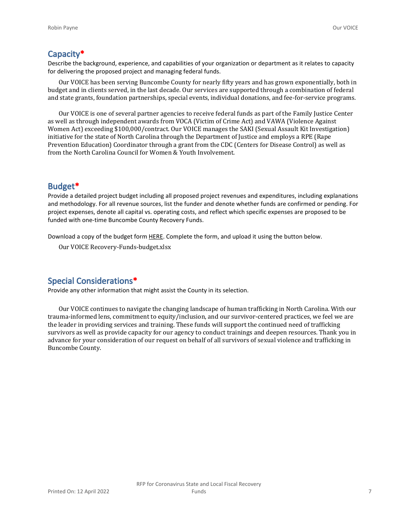## **Capacity\***

Describe the background, experience, and capabilities of your organization or department as it relates to capacity for delivering the proposed project and managing federal funds.

Our VOICE has been serving Buncombe County for nearly fifty years and has grown exponentially, both in budget and in clients served, in the last decade. Our services are supported through a combination of federal and state grants, foundation partnerships, special events, individual donations, and fee-for-service programs.

Our VOICE is one of several partner agencies to receive federal funds as part of the Family Justice Center as well as through independent awards from VOCA (Victim of Crime Act) and VAWA (Violence Against Women Act) exceeding \$100,000/contract. Our VOICE manages the SAKI (Sexual Assault Kit Investigation) initiative for the state of North Carolina through the Department of Justice and employs a RPE (Rape Prevention Education) Coordinator through a grant from the CDC (Centers for Disease Control) as well as from the North Carolina Council for Women & Youth Involvement.

## **Budget\***

Provide a detailed project budget including all proposed project revenues and expenditures, including explanations and methodology. For all revenue sources, list the funder and denote whether funds are confirmed or pending. For project expenses, denote all capital vs. operating costs, and reflect which specific expenses are proposed to be funded with one-time Buncombe County Recovery Funds.

Download a copy of the budget form [HERE](https://buncombecounty.org/common/community-investment/grants/early-childhood-education/Recovery-Funds-budget-template.xlsx). Complete the form, and upload it using the button below.

Our VOICE Recovery-Funds-budget.xlsx

## **Special Considerations\***

Provide any other information that might assist the County in its selection.

Our VOICE continues to navigate the changing landscape of human trafficking in North Carolina. With our trauma-informed lens, commitment to equity/inclusion, and our survivor-centered practices, we feel we are the leader in providing services and training. These funds will support the continued need of trafficking survivors as well as provide capacity for our agency to conduct trainings and deepen resources. Thank you in advance for your consideration of our request on behalf of all survivors of sexual violence and trafficking in Buncombe County.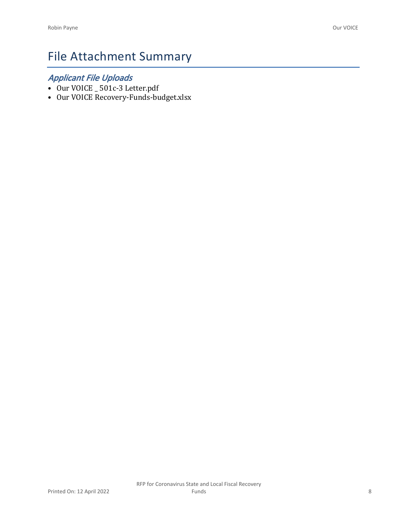# File Attachment Summary

## *Applicant File Uploads*

- Our VOICE \_ 501c-3 Letter.pdf
- Our VOICE Recovery-Funds-budget.xlsx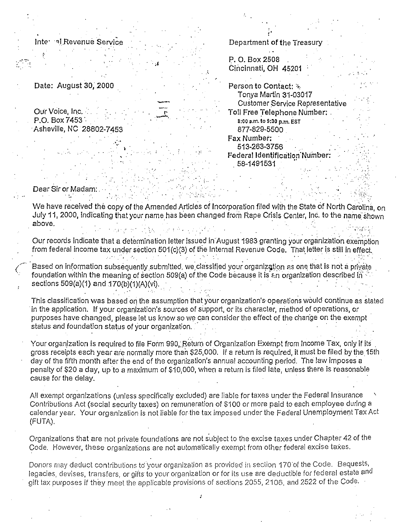Inte al Revenue Service

Date: August 30, 2000

Our Voice, Inc. P.O. Box 7453 Asheville, NC 28802-7453

| P. O. Box 2508                                    |
|---------------------------------------------------|
| Cincinnati, OH 45201                              |
|                                                   |
| <b>Person to Contact: <math>\mathbb{Z}</math></b> |
| Tonya Martin 31-03017                             |
| Customer Service Representativ                    |
| Toll Free Telephone Number: .                     |
| 8:00 a.m. to 9:30 p.m. EST                        |
| 877-829-5500                                      |
| Fax Number:                                       |
| 513-263-3756                                      |

Department of the Treasur

Federal Identification Number: 58-1491531

Dear Sir or Madam: ់ណ

We have received the copy of the Amended Articles of Incorporation filed with the State of North Carolina, on July 11, 2000, indicating that your name has been changed from Rape Crisis Center, Inc. to the name shown above.

Our records indicate that a determination letter issued in August 1983 granting your organization exemption from federal income tax under section 501(c)(3) of the Internal Revenue Code. That letter is still in effect.

Based on information subsequently submitted, we classified your organization as one that is not a private foundation within the meaning of section 509(a) of the Code because it is  $\varepsilon$ n organization described in sections 509(a)(1) and 170(b)(1)(A)(vi).

This classification was based on the assumption that your organization's operations would continue as stated in the application. If your organization's sources of support, or its character, method of operations, or purposes have changed, please let us know so we can consider the effect of the change on the exempt status and foundation status of your organization.

Your organization is required to file Form 990, Return of Organization Exempt from Income Tax, only if its gross receipts each year are normally more than \$25,000. If a return is required, it must be filed by the 15th day of the fifth month after the end of the organization's annual accounting period. The law imposes a penalty of \$20 a day, up to a maximum of \$10,000, when a return is filed late, unless there is reasonable cause for the delay.

All exempt organizations (unless specifically excluded) are liable for taxes under the Federal Insurance Contributions Act (social security taxes) on remuneration of \$100 or more paid to each employee during a calendar year. Your organization is not liable for the tax imposed under the Federal Unemployment Tax Act (FUTA).

Organizations that are not private foundations are not subject to the excise taxes under Chapter 42 of the Code. However, these organizations are not automatically exempt from other federal excise taxes.

Donors may deduct contributions to your organization as provided in section 170 of the Code. Bequests, legacies, devises, transfers, or gifts to your organization or for its use are deductible for federal estate and gift tax purposes if they meet the applicable provisions of sections 2055, 2106, and 2522 of the Code.